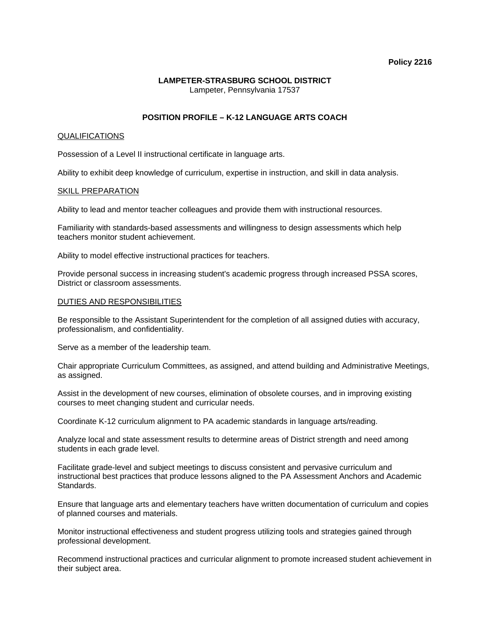### **Policy 2216**

## **LAMPETER-STRASBURG SCHOOL DISTRICT**  Lampeter, Pennsylvania 17537

# **POSITION PROFILE – K-12 LANGUAGE ARTS COACH**

# QUALIFICATIONS

Possession of a Level II instructional certificate in language arts.

Ability to exhibit deep knowledge of curriculum, expertise in instruction, and skill in data analysis.

## SKILL PREPARATION

Ability to lead and mentor teacher colleagues and provide them with instructional resources.

Familiarity with standards-based assessments and willingness to design assessments which help teachers monitor student achievement.

Ability to model effective instructional practices for teachers.

Provide personal success in increasing student's academic progress through increased PSSA scores, District or classroom assessments.

## DUTIES AND RESPONSIBILITIES

Be responsible to the Assistant Superintendent for the completion of all assigned duties with accuracy, professionalism, and confidentiality.

Serve as a member of the leadership team.

Chair appropriate Curriculum Committees, as assigned, and attend building and Administrative Meetings, as assigned.

Assist in the development of new courses, elimination of obsolete courses, and in improving existing courses to meet changing student and curricular needs.

Coordinate K-12 curriculum alignment to PA academic standards in language arts/reading.

Analyze local and state assessment results to determine areas of District strength and need among students in each grade level.

Facilitate grade-level and subject meetings to discuss consistent and pervasive curriculum and instructional best practices that produce lessons aligned to the PA Assessment Anchors and Academic Standards.

Ensure that language arts and elementary teachers have written documentation of curriculum and copies of planned courses and materials.

Monitor instructional effectiveness and student progress utilizing tools and strategies gained through professional development.

Recommend instructional practices and curricular alignment to promote increased student achievement in their subject area.